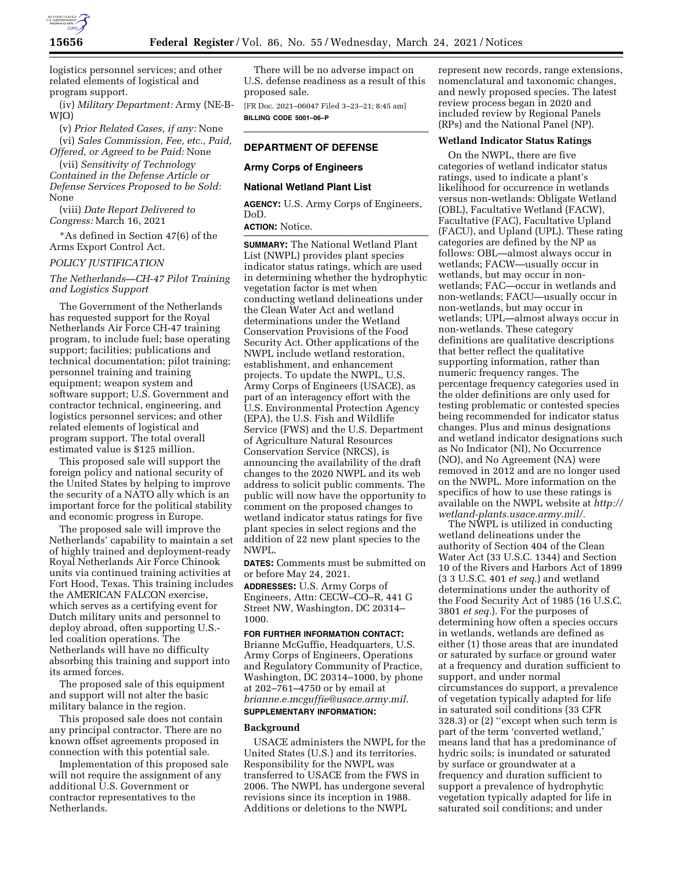

logistics personnel services; and other related elements of logistical and program support.

(iv) *Military Department:* Army (NE-B-WJO)

(v) *Prior Related Cases, if any:* None (vi) *Sales Commission, Fee, etc., Paid, Offered, or Agreed to be Paid:* None

(vii) *Sensitivity of Technology Contained in the Defense Article or Defense Services Proposed to be Sold:*  None

(viii) *Date Report Delivered to Congress:* March 16, 2021

\*As defined in Section 47(6) of the Arms Export Control Act.

#### *POLICY JUSTIFICATION*

## *The Netherlands—CH-47 Pilot Training and Logistics Support*

The Government of the Netherlands has requested support for the Royal Netherlands Air Force CH-47 training program, to include fuel; base operating support; facilities; publications and technical documentation; pilot training; personnel training and training equipment; weapon system and software support; U.S. Government and contractor technical, engineering, and logistics personnel services; and other related elements of logistical and program support. The total overall estimated value is \$125 million.

This proposed sale will support the foreign policy and national security of the United States by helping to improve the security of a NATO ally which is an important force for the political stability and economic progress in Europe.

The proposed sale will improve the Netherlands' capability to maintain a set of highly trained and deployment-ready Royal Netherlands Air Force Chinook units via continued training activities at Fort Hood, Texas. This training includes the AMERICAN FALCON exercise, which serves as a certifying event for Dutch military units and personnel to deploy abroad, often supporting U.S. led coalition operations. The Netherlands will have no difficulty absorbing this training and support into its armed forces.

The proposed sale of this equipment and support will not alter the basic military balance in the region.

This proposed sale does not contain any principal contractor. There are no known offset agreements proposed in connection with this potential sale.

Implementation of this proposed sale will not require the assignment of any additional U.S. Government or contractor representatives to the Netherlands.

There will be no adverse impact on U.S. defense readiness as a result of this proposed sale.

[FR Doc. 2021–06047 Filed 3–23–21; 8:45 am] **BILLING CODE 5001–06–P** 

# **DEPARTMENT OF DEFENSE**

## **Army Corps of Engineers**

### **National Wetland Plant List**

**AGENCY:** U.S. Army Corps of Engineers, DoD.

## **ACTION:** Notice.

**SUMMARY:** The National Wetland Plant List (NWPL) provides plant species indicator status ratings, which are used in determining whether the hydrophytic vegetation factor is met when conducting wetland delineations under the Clean Water Act and wetland determinations under the Wetland Conservation Provisions of the Food Security Act. Other applications of the NWPL include wetland restoration, establishment, and enhancement projects. To update the NWPL, U.S. Army Corps of Engineers (USACE), as part of an interagency effort with the U.S. Environmental Protection Agency (EPA), the U.S. Fish and Wildlife Service (FWS) and the U.S. Department of Agriculture Natural Resources Conservation Service (NRCS), is announcing the availability of the draft changes to the 2020 NWPL and its web address to solicit public comments. The public will now have the opportunity to comment on the proposed changes to wetland indicator status ratings for five plant species in select regions and the addition of 22 new plant species to the NWPL.

**DATES:** Comments must be submitted on or before May 24, 2021.

**ADDRESSES:** U.S. Army Corps of Engineers, Attn: CECW–CO–R, 441 G Street NW, Washington, DC 20314– 1000.

## **FOR FURTHER INFORMATION CONTACT:**

Brianne McGuffie, Headquarters, U.S. Army Corps of Engineers, Operations and Regulatory Community of Practice, Washington, DC 20314–1000, by phone at 202–761–4750 or by email at *[brianne.e.mcguffie@usace.army.mil.](mailto:brianne.e.mcguffie@usace.army.mil)*  **SUPPLEMENTARY INFORMATION:** 

#### **Background**

USACE administers the NWPL for the United States (U.S.) and its territories. Responsibility for the NWPL was transferred to USACE from the FWS in 2006. The NWPL has undergone several revisions since its inception in 1988. Additions or deletions to the NWPL

represent new records, range extensions, nomenclatural and taxonomic changes, and newly proposed species. The latest review process began in 2020 and included review by Regional Panels (RPs) and the National Panel (NP).

#### **Wetland Indicator Status Ratings**

On the NWPL, there are five categories of wetland indicator status ratings, used to indicate a plant's likelihood for occurrence in wetlands versus non-wetlands: Obligate Wetland (OBL), Facultative Wetland (FACW), Facultative (FAC), Facultative Upland (FACU), and Upland (UPL). These rating categories are defined by the NP as follows: OBL—almost always occur in wetlands; FACW—usually occur in wetlands, but may occur in nonwetlands; FAC—occur in wetlands and non-wetlands; FACU—usually occur in non-wetlands, but may occur in wetlands; UPL—almost always occur in non-wetlands. These category definitions are qualitative descriptions that better reflect the qualitative supporting information, rather than numeric frequency ranges. The percentage frequency categories used in the older definitions are only used for testing problematic or contested species being recommended for indicator status changes. Plus and minus designations and wetland indicator designations such as No Indicator (NI), No Occurrence (NO), and No Agreement (NA) were removed in 2012 and are no longer used on the NWPL. More information on the specifics of how to use these ratings is available on the NWPL website at *[http://](http://wetland-plants.usace.army.mil/)  [wetland-plants.usace.army.mil/.](http://wetland-plants.usace.army.mil/)* 

The NWPL is utilized in conducting wetland delineations under the authority of Section 404 of the Clean Water Act (33 U.S.C. 1344) and Section 10 of the Rivers and Harbors Act of 1899 (3 3 U.S.C. 401 *et seq.*) and wetland determinations under the authority of the Food Security Act of 1985 (16 U.S.C. 3801 *et seq.*). For the purposes of determining how often a species occurs in wetlands, wetlands are defined as either (1) those areas that are inundated or saturated by surface or ground water at a frequency and duration sufficient to support, and under normal circumstances do support, a prevalence of vegetation typically adapted for life in saturated soil conditions (33 CFR 328.3) or (2) ''except when such term is part of the term 'converted wetland,' means land that has a predominance of hydric soils; is inundated or saturated by surface or groundwater at a frequency and duration sufficient to support a prevalence of hydrophytic vegetation typically adapted for life in saturated soil conditions; and under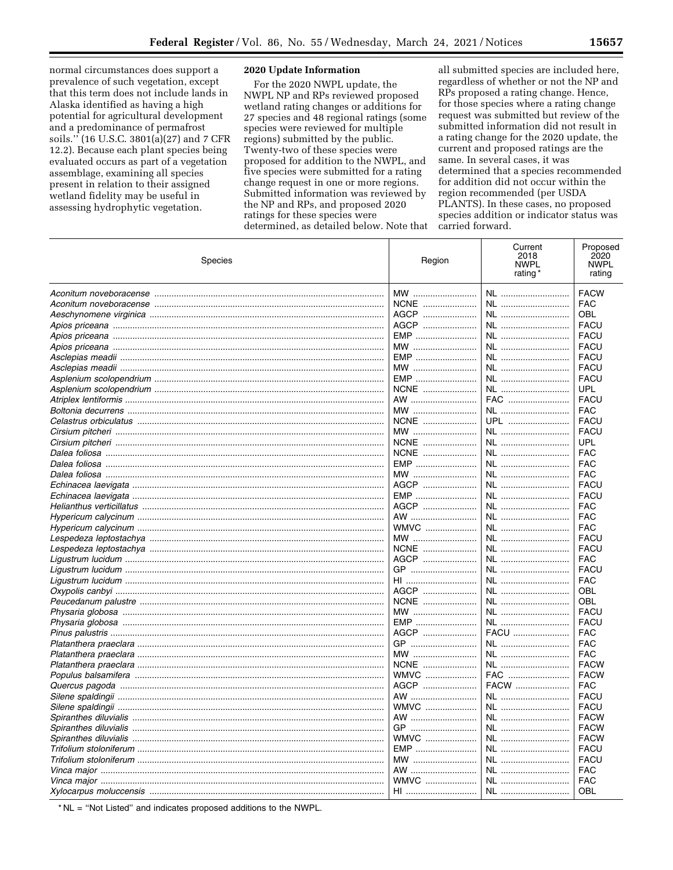normal circumstances does support a prevalence of such vegetation, except that this term does not include lands in Alaska identified as having a high potential for agricultural development and a predominance of permafrost soils." (16 U.S.C. 3801(a)(27) and 7 CFR 12.2). Because each plant species being evaluated occurs as part of a vegetation assemblage, examining all species present in relation to their assigned wetland fidelity may be useful in assessing hydrophytic vegetation.

## 2020 Update Information

For the 2020 NWPL update, the NWPL NP and RPs reviewed proposed wetland rating changes or additions for 27 species and 48 regional ratings (some species were reviewed for multiple regions) submitted by the public. Twenty-two of these species were proposed for addition to the NWPL, and five species were submitted for a rating change request in one or more regions. Submitted information was reviewed by the NP and RPs, and proposed 2020 ratings for these species were determined, as detailed below. Note that

all submitted species are included here, regardless of whether or not the NP and RPs proposed a rating change. Hence, for those species where a rating change request was submitted but review of the submitted information did not result in a rating change for the 2020 update, the current and proposed ratings are the same. In several cases, it was determined that a species recommended for addition did not occur within the region recommended (per USDA PLANTS). In these cases, no proposed species addition or indicator status was carried forward.

| Species                 | Region      | Current<br>2018<br><b>NWPL</b><br>rating | Proposed<br>2020<br><b>NWPL</b><br>rating |
|-------------------------|-------------|------------------------------------------|-------------------------------------------|
|                         | MW          | NL                                       | <b>FACW</b>                               |
|                         | NCNE        | NL                                       | <b>FAC</b>                                |
|                         | AGCP        | NL                                       | OBL                                       |
|                         | AGCP        | NL                                       | <b>FACU</b>                               |
|                         | EMP         | NL                                       | <b>FACU</b>                               |
|                         | $MW$        | NL                                       | <b>FACU</b>                               |
|                         | EMP         | NL                                       | <b>FACU</b>                               |
|                         | $MW$        | NL                                       | <b>FACU</b>                               |
| Asplenium scolopendrium | <b>EMP</b>  | NL                                       | <b>FACU</b>                               |
|                         | NCNE        | NL                                       | <b>UPL</b>                                |
|                         | AW          | FAC                                      | <b>FACU</b>                               |
|                         | MW          | NL                                       | <b>FAC</b>                                |
|                         | NCNE        | UPL                                      | <b>FACU</b>                               |
|                         | MW          | NL                                       | <b>FACU</b>                               |
|                         | NCNE        | NL                                       | UPL                                       |
| Dalea foliosa           | NCNE        | NL                                       | FAC                                       |
|                         | EMP         | NL                                       | <b>FAC</b>                                |
|                         | MW          | NL                                       | <b>FAC</b>                                |
|                         | AGCP        | NL                                       | <b>FACU</b>                               |
|                         | <b>EMP</b>  | NL                                       | <b>FACU</b>                               |
|                         | AGCP        | NL                                       | <b>FAC</b>                                |
|                         |             |                                          |                                           |
|                         | AW          | NL                                       | <b>FAC</b>                                |
|                         | <b>WMVC</b> | NL                                       | <b>FAC</b>                                |
|                         | MW          | NL                                       | <b>FACU</b>                               |
|                         | NCNE        | NL                                       | <b>FACU</b>                               |
|                         | AGCP        | NL                                       | <b>FAC</b>                                |
|                         | GP          | NL                                       | <b>FACU</b>                               |
|                         | HI          | NL                                       | FAC                                       |
|                         | AGCP        | NL                                       | OBL                                       |
|                         | NCNE        | NL                                       | OBL                                       |
|                         | MW          | NL                                       | <b>FACU</b>                               |
|                         | EMP         | NL                                       | <b>FACU</b>                               |
|                         | AGCP        | FACU                                     | <b>FAC</b>                                |
|                         | GP          | NL                                       | <b>FAC</b>                                |
|                         | MW          | NL                                       | <b>FAC</b>                                |
|                         | NCNE        | NL                                       | <b>FACW</b>                               |
|                         | <b>WMVC</b> | FAC                                      | <b>FACW</b>                               |
|                         | AGCP        | FACW                                     | <b>FAC</b>                                |
|                         | AW          | NL                                       | <b>FACU</b>                               |
|                         | <b>WMVC</b> | NL                                       | <b>FACU</b>                               |
|                         | AW          | NL                                       | <b>FACW</b>                               |
| Spiranthes diluvialis   | GP          | NL                                       | <b>FACW</b>                               |
| Spiranthes diluvialis   | <b>WMVC</b> | NL                                       | <b>FACW</b>                               |
|                         | EMP         | NL                                       | <b>FACU</b>                               |
|                         | MW          | NL                                       | <b>FACU</b>                               |
|                         | AW          | NL                                       | FAC                                       |
|                         | WMVC        | NL                                       | <b>FAC</b>                                |
|                         | HI          | NL                                       | OBL                                       |

\* NL = "Not Listed" and indicates proposed additions to the NWPL.